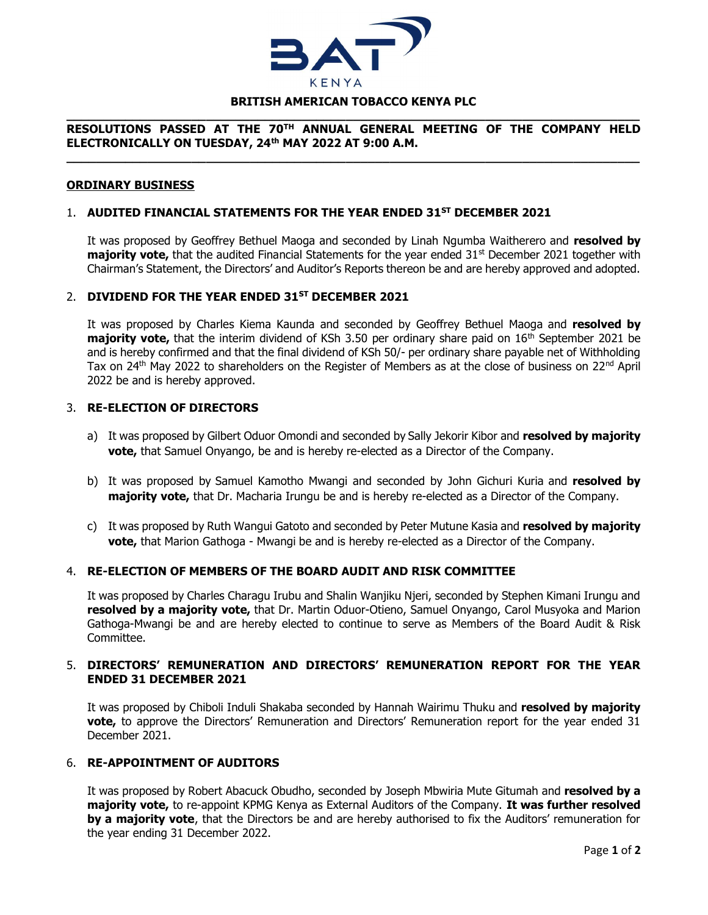

# \_\_\_\_\_\_\_\_\_\_\_\_\_\_\_\_\_\_\_\_\_\_\_\_\_\_\_\_\_\_\_\_\_\_\_\_\_\_\_\_\_\_\_\_\_\_\_\_\_\_\_\_\_\_\_\_\_\_\_\_\_\_\_\_\_\_\_\_\_\_\_\_\_\_\_\_\_\_

#### RESOLUTIONS PASSED AT THE 70TH ANNUAL GENERAL MEETING OF THE COMPANY HELD ELECTRONICALLY ON TUESDAY, 24th MAY 2022 AT 9:00 A.M. \_\_\_\_\_\_\_\_\_\_\_\_\_\_\_\_\_\_\_\_\_\_\_\_\_\_\_\_\_\_\_\_\_\_\_\_\_\_\_\_\_\_\_\_\_\_\_\_\_\_\_\_\_\_\_\_\_\_\_\_\_\_\_\_\_\_\_\_\_\_\_\_\_\_\_\_\_\_

#### ORDINARY BUSINESS

## 1. AUDITED FINANCIAL STATEMENTS FOR THE YEAR ENDED 31<sup>ST</sup> DECEMBER 2021

It was proposed by Geoffrey Bethuel Maoga and seconded by Linah Ngumba Waitherero and resolved by **majority vote,** that the audited Financial Statements for the year ended  $31<sup>st</sup>$  December 2021 together with Chairman's Statement, the Directors' and Auditor's Reports thereon be and are hereby approved and adopted.

#### 2. DIVIDEND FOR THE YEAR ENDED 31<sup>ST</sup> DECEMBER 2021

It was proposed by Charles Kiema Kaunda and seconded by Geoffrey Bethuel Maoga and resolved by **majority vote,** that the interim dividend of KSh 3.50 per ordinary share paid on  $16<sup>th</sup>$  September 2021 be and is hereby confirmed and that the final dividend of KSh 50/- per ordinary share payable net of Withholding Tax on 24<sup>th</sup> May 2022 to shareholders on the Register of Members as at the close of business on 22<sup>nd</sup> April 2022 be and is hereby approved.

#### 3. RE-ELECTION OF DIRECTORS

- a) It was proposed by Gilbert Oduor Omondi and seconded by Sally Jekorir Kibor and resolved by majority vote, that Samuel Onyango, be and is hereby re-elected as a Director of the Company.
- b) It was proposed by Samuel Kamotho Mwangi and seconded by John Gichuri Kuria and resolved by majority vote, that Dr. Macharia Irungu be and is hereby re-elected as a Director of the Company.
- c) It was proposed by Ruth Wangui Gatoto and seconded by Peter Mutune Kasia and resolved by majority vote, that Marion Gathoga - Mwangi be and is hereby re-elected as a Director of the Company.

#### 4. RE-ELECTION OF MEMBERS OF THE BOARD AUDIT AND RISK COMMITTEE

It was proposed by Charles Charagu Irubu and Shalin Wanjiku Njeri, seconded by Stephen Kimani Irungu and resolved by a majority vote, that Dr. Martin Oduor-Otieno, Samuel Onyango, Carol Musyoka and Marion Gathoga-Mwangi be and are hereby elected to continue to serve as Members of the Board Audit & Risk Committee.

#### 5. DIRECTORS' REMUNERATION AND DIRECTORS' REMUNERATION REPORT FOR THE YEAR ENDED 31 DECEMBER 2021

It was proposed by Chiboli Induli Shakaba seconded by Hannah Wairimu Thuku and resolved by majority vote, to approve the Directors' Remuneration and Directors' Remuneration report for the year ended 31 December 2021.

### 6. RE-APPOINTMENT OF AUDITORS

It was proposed by Robert Abacuck Obudho, seconded by Joseph Mbwiria Mute Gitumah and resolved by a majority vote, to re-appoint KPMG Kenya as External Auditors of the Company. It was further resolved by a majority vote, that the Directors be and are hereby authorised to fix the Auditors' remuneration for the year ending 31 December 2022.